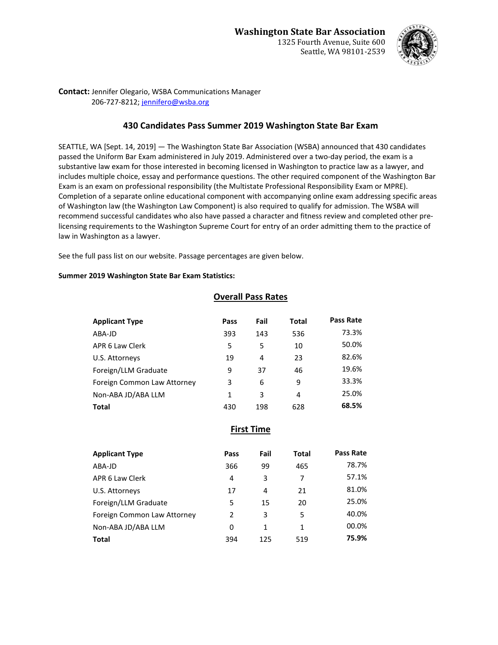

**Contact:** Jennifer Olegario, WSBA Communications Manager 206-727-8212; [jennifero@wsba.org](mailto:jennifero@wsba.org)

# **430 Candidates Pass Summer 2019 Washington State Bar Exam**

SEATTLE, WA [Sept. 14, 2019] — The Washington State Bar Association (WSBA) announced that 430 candidates passed the Uniform Bar Exam administered in July 2019. Administered over a two-day period, the exam is a substantive law exam for those interested in becoming licensed in Washington to practice law as a lawyer, and includes multiple choice, essay and performance questions. The other required component of the Washington Bar Exam is an exam on professional responsibility (the Multistate Professional Responsibility Exam or MPRE). Completion of a separate online educational component with accompanying online exam addressing specific areas of Washington law (the Washington Law Component) is also required to qualify for admission. The WSBA will recommend successful candidates who also have passed a character and fitness review and completed other prelicensing requirements to the Washington Supreme Court for entry of an order admitting them to the practice of law in Washington as a lawyer.

See the full pass list on our website. Passage percentages are given below.

### **Summer 2019 Washington State Bar Exam Statistics:**

| <b>Applicant Type</b>       | Pass | Fail | Total | Pass Rate |
|-----------------------------|------|------|-------|-----------|
| ABA-JD                      | 393  | 143  | 536   | 73.3%     |
| APR 6 Law Clerk             | 5    | 5    | 10    | 50.0%     |
| U.S. Attorneys              | 19   | 4    | 23    | 82.6%     |
| Foreign/LLM Graduate        | 9    | 37   | 46    | 19.6%     |
| Foreign Common Law Attorney | 3    | 6    | 9     | 33.3%     |
| Non-ABA JD/ABA LLM          | 1    | 3    | 4     | 25.0%     |
| <b>Total</b>                | 430  | 198  | 628   | 68.5%     |

## **Overall Pass Rates**

**First Time** 

| <b>Applicant Type</b>       | Pass          | Fail | Total | Pass Rate |
|-----------------------------|---------------|------|-------|-----------|
| ABA-JD                      | 366           | 99   | 465   | 78.7%     |
| APR 6 Law Clerk             | 4             | 3    | 7     | 57.1%     |
| U.S. Attorneys              | 17            | 4    | 21    | 81.0%     |
| Foreign/LLM Graduate        | 5             | 15   | 20    | 25.0%     |
| Foreign Common Law Attorney | $\mathcal{P}$ | 3    | 5     | 40.0%     |
| Non-ABA JD/ABA LLM          | 0             | 1    | 1     | 00.0%     |
| <b>Total</b>                | 394           | 125  | 519   | 75.9%     |